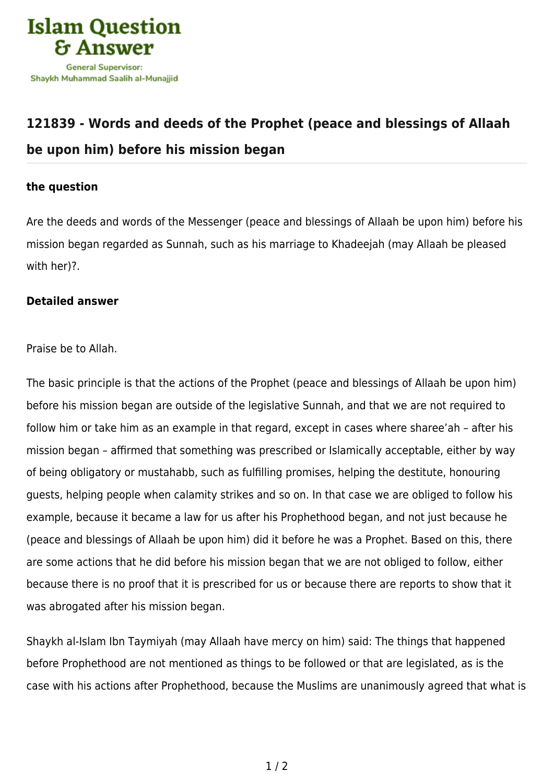

## **[121839 - Words and deeds of the Prophet \(peace and blessings of Allaah](https://islamqa.com/en/answers/121839/words-and-deeds-of-the-prophet-peace-and-blessings-of-allaah-be-upon-him-before-his-mission-began) [be upon him\) before his mission began](https://islamqa.com/en/answers/121839/words-and-deeds-of-the-prophet-peace-and-blessings-of-allaah-be-upon-him-before-his-mission-began)**

## **the question**

Are the deeds and words of the Messenger (peace and blessings of Allaah be upon him) before his mission began regarded as Sunnah, such as his marriage to Khadeejah (may Allaah be pleased with her)?.

## **Detailed answer**

Praise be to Allah.

The basic principle is that the actions of the Prophet (peace and blessings of Allaah be upon him) before his mission began are outside of the legislative Sunnah, and that we are not required to follow him or take him as an example in that regard, except in cases where sharee'ah – after his mission began – affirmed that something was prescribed or Islamically acceptable, either by way of being obligatory or mustahabb, such as fulfilling promises, helping the destitute, honouring guests, helping people when calamity strikes and so on. In that case we are obliged to follow his example, because it became a law for us after his Prophethood began, and not just because he (peace and blessings of Allaah be upon him) did it before he was a Prophet. Based on this, there are some actions that he did before his mission began that we are not obliged to follow, either because there is no proof that it is prescribed for us or because there are reports to show that it was abrogated after his mission began.

Shaykh al-Islam Ibn Taymiyah (may Allaah have mercy on him) said: The things that happened before Prophethood are not mentioned as things to be followed or that are legislated, as is the case with his actions after Prophethood, because the Muslims are unanimously agreed that what is